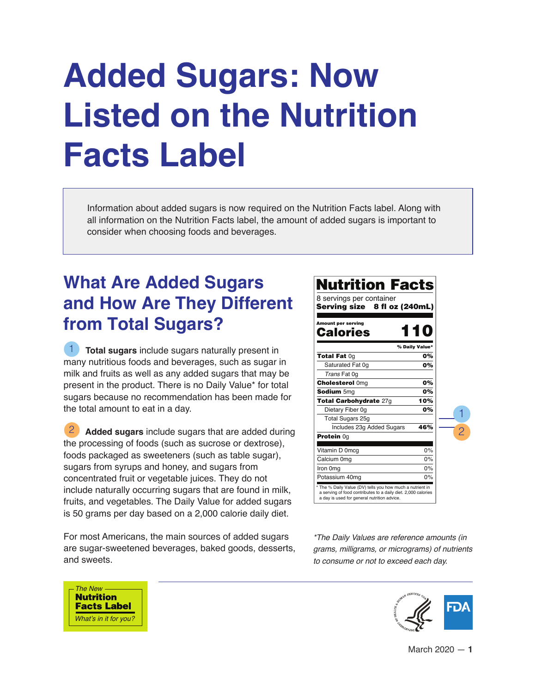# **Added Sugars: Now Listed on the Nutrition Facts Label**

Information about added sugars is now required on the Nutrition Facts label. Along with all information on the Nutrition Facts label, the amount of added sugars is important to consider when choosing foods and beverages.

## **What Are Added Sugars and How Are They Different from Total Sugars?**

 **Total sugars** include sugars naturally present in many nutritious foods and beverages, such as sugar in milk and fruits as well as any added sugars that may be present in the product. There is no Daily Value\* for total sugars because no recommendation has been made for the total amount to eat in a day. 1

 **Added sugars** include sugars that are added during the processing of foods (such as sucrose or dextrose), foods packaged as sweeteners (such as table sugar), sugars from syrups and honey, and sugars from concentrated fruit or vegetable juices. They do not include naturally occurring sugars that are found in milk, fruits, and vegetables. The Daily Value for added sugars is 50 grams per day based on a 2,000 calorie daily diet. 2

For most Americans, the main sources of added sugars are sugar-sweetened beverages, baked goods, desserts, and sweets.



*\*The Daily Values are reference amounts (in grams, milligrams, or micrograms) of nutrients to consume or not to exceed each day.*



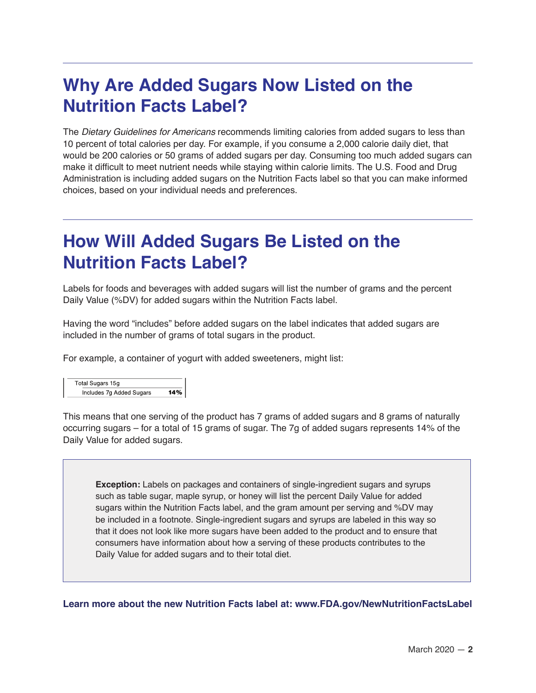#### **Why Are Added Sugars Now Listed on the Nutrition Facts Label?**

The *Dietary Guidelines for Americans* recommends limiting calories from added sugars to less than 10 percent of total calories per day. For example, if you consume a 2,000 calorie daily diet, that would be 200 calories or 50 grams of added sugars per day. Consuming too much added sugars can make it difficult to meet nutrient needs while staying within calorie limits. The U.S. Food and Drug Administration is including added sugars on the Nutrition Facts label so that you can make informed choices, based on your individual needs and preferences.

### **How Will Added Sugars Be Listed on the Nutrition Facts Label?**

Labels for foods and beverages with added sugars will list the number of grams and the percent Daily Value (%DV) for added sugars within the Nutrition Facts label.

Having the word "includes" before added sugars on the label indicates that added sugars are included in the number of grams of total sugars in the product.

For example, a container of yogurt with added sweeteners, might list:

| <b>Total Sugars 15g</b>  |     |
|--------------------------|-----|
| Includes 7g Added Sugars | 14% |

This means that one serving of the product has 7 grams of added sugars and 8 grams of naturally occurring sugars – for a total of 15 grams of sugar. The 7g of added sugars represents 14% of the Daily Value for added sugars.

**Exception:** Labels on packages and containers of single-ingredient sugars and syrups such as table sugar, maple syrup, or honey will list the percent Daily Value for added sugars within the Nutrition Facts label, and the gram amount per serving and %DV may be included in a footnote. Single-ingredient sugars and syrups are labeled in this way so that it does not look like more sugars have been added to the product and to ensure that consumers have information about how a serving of these products contributes to the Daily Value for added sugars and to their total diet.

**Learn more about the new Nutrition Facts label at: www.FDA.gov/NewNutritionFactsLabel**